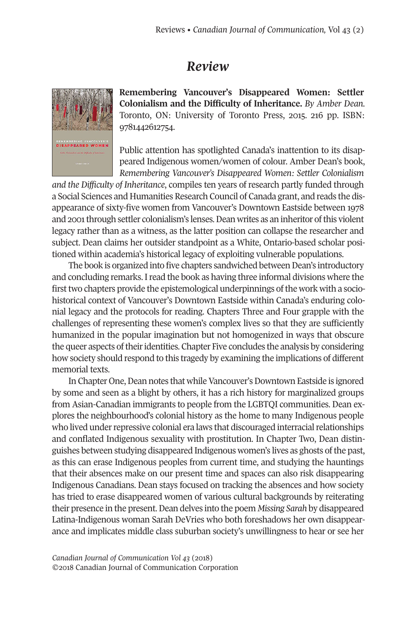## *Review*



**Remembering Vancouver's Disappeared Women: Settler Colonialism and the Difficulty of Inheritance.** *By Amber Dean.* Toronto, ON: University of Toronto Press, 2015. 216 pp. ISBN: 9781442612754.

Public attention has spotlighted Canada's inattention to its disappeared Indigenous women/women of colour. Amber Dean's book, *Remembering Vancouver's Disappeared Women: Settler Colonialism*

*and the Difficulty of Inheritance*, compiles ten years of research partly funded through a Social Sciences and Humanities Research Council of Canada grant, and reads the disappearance of sixty-five women from Vancouver's Downtown Eastside between 1978 and 2001 through settler colonialism's lenses. Dean writes as an inheritor of this violent legacy rather than as a witness, as the latter position can collapse the researcher and subject. Dean claims her outsider standpoint as a White, Ontario-based scholar positioned within academia's historical legacy of exploiting vulnerable populations.

The book is organized into five chapters sandwiched between Dean's introductory and concluding remarks. Iread the book as having three informal divisions where the first two chapters provide the epistemological underpinnings of the work with a sociohistorical context of Vancouver's Downtown Eastside within Canada's enduring colonial legacy and the protocols for reading. Chapters Three and Four grapple with the challenges of representing these women's complex lives so that they are sufficiently humanized in the popular imagination but not homogenized in ways that obscure the queer aspects oftheiridentities. Chapter Five concludes the analysis by considering how society should respond to this tragedy by examining the implications of different memorial texts.

In Chapter One, Dean notes that while Vancouver's Downtown Eastside is ignored by some and seen as a blight by others, it has a rich history for marginalized groups from Asian-Canadian immigrants to people from the LGBTQI communities. Dean explores the neighbourhood's colonial history as the home to many Indigenous people who lived under repressive colonial era laws that discouraged interracial relationships and conflated Indigenous sexuality with prostitution. In Chapter Two, Dean distinguishes between studying disappeared Indigenous women's lives as ghosts of the past, as this can erase Indigenous peoples from current time, and studying the hauntings that their absences make on our present time and spaces can also risk disappearing Indigenous Canadians. Dean stays focused on tracking the absences and how society has tried to erase disappeared women of various cultural backgrounds by reiterating their presence in the present.Dean delves into the poem *Missing Sarah* by disappeared Latina-Indigenous woman Sarah DeVries who both foreshadows her own disappearance and implicates middle class suburban society's unwillingness to hear or see her

*Canadian Journal of [Communication](http://www.cjc-online.ca) Vol 43* (2018) ©2018 Canadian Journal of Communication Corporation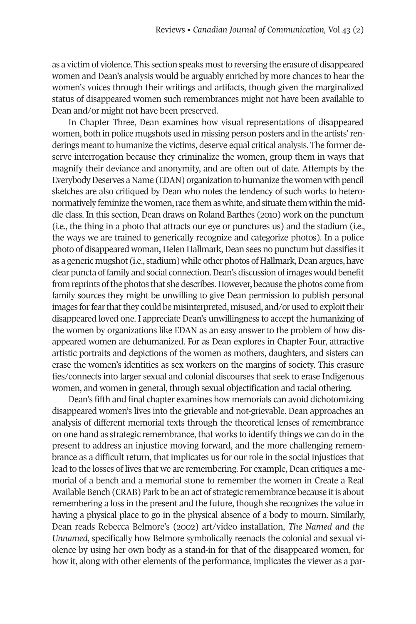as a victim of violence. This section speaks mostto reversing the erasure of disappeared women and Dean's analysis would be arguably enriched by more chances to hear the women's voices through their writings and artifacts, though given the marginalized status of disappeared women such remembrances might not have been available to Dean and/or might not have been preserved.

In Chapter Three, Dean examines how visual representations of disappeared women, both in police mugshots used in missing person posters and in the artists'renderings meant to humanize the victims, deserve equal critical analysis. The former deserve interrogation because they criminalize the women, group them in ways that magnify their deviance and anonymity, and are often out of date. Attempts by the Everybody Deserves a Name (EDAN) organization to humanize the women with pencil sketches are also critiqued by Dean who notes the tendency of such works to heteronormatively feminize the women, race them as white, and situate them within the middle class. In this section, Dean draws on Roland Barthes (2010) work on the punctum (i.e., the thing in a photo that attracts our eye or punctures us) and the stadium (i.e., the ways we are trained to generically recognize and categorize photos). In a police photo of disappeared woman, Helen Hallmark, Dean sees no punctum but classifies it as a generic mugshot (i.e., stadium) while other photos of Hallmark, Dean argues, have clear puncta offamily and social connection.Dean's discussion ofimages would benefit from reprints of the photos that she describes. However, because the photos come from family sources they might be unwilling to give Dean permission to publish personal images for fear that they could be misinterpreted, misused, and/or used to exploit their disappeared loved one. I appreciate Dean's unwillingness to accept the humanizing of the women by organizations like EDAN as an easy answer to the problem of how disappeared women are dehumanized. For as Dean explores in Chapter Four, attractive artistic portraits and depictions of the women as mothers, daughters, and sisters can erase the women's identities as sex workers on the margins of society. This erasure ties/connects into larger sexual and colonial discourses that seek to erase Indigenous women, and women in general, through sexual objectification and racial othering.

Dean's fifth and final chapter examines how memorials can avoid dichotomizing disappeared women's lives into the grievable and not-grievable. Dean approaches an analysis of different memorial texts through the theoretical lenses of remembrance on one hand as strategic remembrance, that works to identify things we can do in the present to address an injustice moving forward, and the more challenging remembrance as a difficult return, that implicates us for our role in the social injustices that lead to the losses of lives that we are remembering. For example, Dean critiques a memorial of a bench and a memorial stone to remember the women in Create a Real Available Bench (CRAB) Park to be an act of strategic remembrance because it is about remembering a loss in the present and the future, though she recognizes the value in having a physical place to go in the physical absence of a body to mourn. Similarly, Dean reads Rebecca Belmore's (2002) art/video installation, *The Named and the Unnamed*, specifically how Belmore symbolically reenacts the colonial and sexual violence by using her own body as a stand-in for that of the disappeared women, for how it, along with other elements of the performance, implicates the viewer as a par-